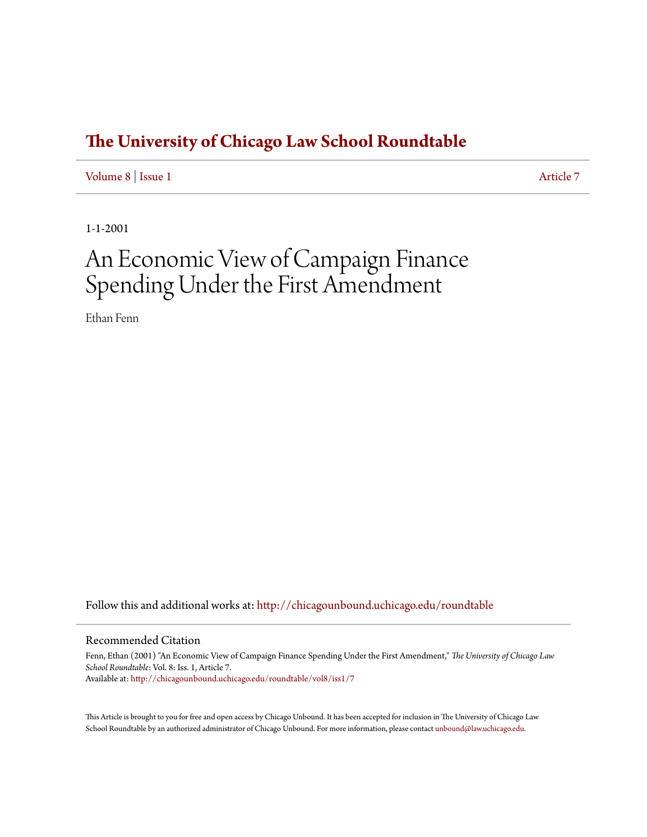## **[The University of Chicago Law School Roundtable](http://chicagounbound.uchicago.edu/roundtable?utm_source=chicagounbound.uchicago.edu%2Froundtable%2Fvol8%2Fiss1%2F7&utm_medium=PDF&utm_campaign=PDFCoverPages)**

[Volume 8](http://chicagounbound.uchicago.edu/roundtable/vol8?utm_source=chicagounbound.uchicago.edu%2Froundtable%2Fvol8%2Fiss1%2F7&utm_medium=PDF&utm_campaign=PDFCoverPages) | [Issue 1](http://chicagounbound.uchicago.edu/roundtable/vol8/iss1?utm_source=chicagounbound.uchicago.edu%2Froundtable%2Fvol8%2Fiss1%2F7&utm_medium=PDF&utm_campaign=PDFCoverPages) [Article 7](http://chicagounbound.uchicago.edu/roundtable/vol8/iss1/7?utm_source=chicagounbound.uchicago.edu%2Froundtable%2Fvol8%2Fiss1%2F7&utm_medium=PDF&utm_campaign=PDFCoverPages)

1-1-2001

# An Economic View of Campaign Finance Spending Under the First Amendment

Ethan Fenn

Follow this and additional works at: [http://chicagounbound.uchicago.edu/roundtable](http://chicagounbound.uchicago.edu/roundtable?utm_source=chicagounbound.uchicago.edu%2Froundtable%2Fvol8%2Fiss1%2F7&utm_medium=PDF&utm_campaign=PDFCoverPages)

#### Recommended Citation

Fenn, Ethan (2001) "An Economic View of Campaign Finance Spending Under the First Amendment," *The University of Chicago Law School Roundtable*: Vol. 8: Iss. 1, Article 7. Available at: [http://chicagounbound.uchicago.edu/roundtable/vol8/iss1/7](http://chicagounbound.uchicago.edu/roundtable/vol8/iss1/7?utm_source=chicagounbound.uchicago.edu%2Froundtable%2Fvol8%2Fiss1%2F7&utm_medium=PDF&utm_campaign=PDFCoverPages)

This Article is brought to you for free and open access by Chicago Unbound. It has been accepted for inclusion in The University of Chicago Law School Roundtable by an authorized administrator of Chicago Unbound. For more information, please contact [unbound@law.uchicago.edu](mailto:unbound@law.uchicago.edu).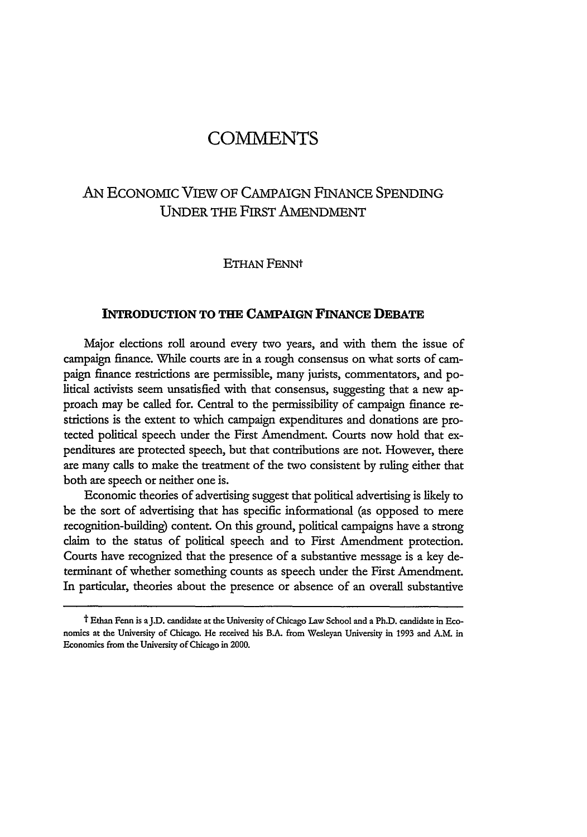## COMMENTS

### AN ECONOMIC VIEW OF CAMPAIGN FINANCE SPENDING UNDER THE FIRST AMENDMENT

#### ETHAN FENNt

#### **INTRODUCTION TO THE CAMPAIGN FINANCE DEBATE**

Major elections roll around every two years, and with them the issue of campaign finance. While courts are in a rough consensus on what sorts of campaign finance restrictions are permissible, many jurists, commentators, and political activists seem unsatisfied with that consensus, suggesting that a new approach may be called for. Central to the permissibility of campaign finance restrictions is the extent to which campaign expenditures and donations are protected political speech under the First Amendment. Courts now hold that expenditures are protected speech, but that contributions are not. However, there are many calls to make the treatment of the two consistent by ruling either that both are speech or neither one is.

Economic theories of advertising suggest that political advertising is likely to be the sort of advertising that has specific informational (as opposed to mere recognition-building) content. On this ground, political campaigns have a strong claim to the status of political speech and to First Amendment protection. Courts have recognized that the presence of a substantive message is a key determinant of whether something counts as speech under the First Amendment. In particular, theories about the presence or absence of an overall substantive

t Ethan Fenn is **aJ.D.** candidate at the University **of** Chicago Law School **and** a **Ph.D.** candidate in **Eco**nomics at the University **of** Chicago. He **received his B.A. from** Wesleyan University in **1993** and **A.M.** in Economics from the University of Chicago in 2000.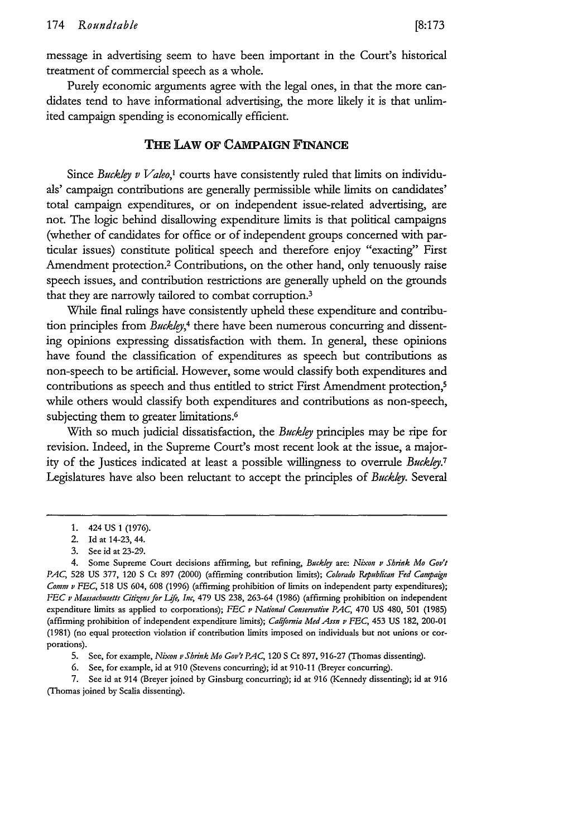message in advertising seem to have been important in the Court's historical treatment of commercial speech as a whole.

Purely economic arguments agree with the legal ones, in that the more candidates tend to have informational advertising, the more likely it is that unlimited campaign spending is economically efficient.

#### **THE LAW OF** CAMPAIGN **FINANCE**

Since *Buckley v Valeo,'* courts have consistently ruled that limits on individuals' campaign contributions are generally permissible while limits on candidates' total campaign expenditures, or on independent issue-related advertising, are not. The logic behind disallowing expenditure limits is that political campaigns (whether of candidates for office or of independent groups concerned with particular issues) constitute political speech and therefore enjoy "exacting" First Amendment protection.2 Contributions, on the other hand, only tenuously raise speech issues, and contribution restrictions are generally upheld on the grounds that they are narrowly tailored to combat corruption.<sup>3</sup>

While final rulings have consistently upheld these expenditure and contribution principles from *Buckly,4* there have been numerous concurring and dissenting opinions expressing dissatisfaction with them. In general, these opinions have found the classification of expenditures as speech but contributions as non-speech to be artificial. However, some would classify both expenditures and contributions as speech and thus entitled to strict First Amendment protection,<sup>5</sup> while others would classify both expenditures and contributions as non-speech, subjecting them to greater limitations.<sup>6</sup>

With so much judicial dissatisfaction, the *Buckley* principles may be ripe for revision. Indeed, in the Supreme Court's most recent look at the issue, a majority of the Justices indicated at least a possible willingness to overrule *Buckley. <sup>7</sup>* Legislatures have also been reluctant to accept the principles of *Buckley.* Several

7. See id at 914 (Breyer joined by Ginsburg concurring); id at 916 (Kennedy dissenting); id at 916 **(Thomas** joined **by** Scalia dissenting).

**<sup>1.</sup>** 424 US 1 (1976).

<sup>2.</sup> Id at 14-23, 44.

<sup>3.</sup> See id at 23-29.

<sup>4.</sup> Some Supreme Court decisions affirming, but refining, Buckly are: *Nixon v Shink Mo* Gov't *PAC,* 528 US 377, 120 **S** Ct 897 (2000) (affirming contribution limits); *Colorado Republican Fed Campaign Comm v FEC,* 518 US 604, 608 (1996) (affirming prohibition of limits on independent party expenditures); *FEC v Massachusetts Citizens for Life, Inc, 479 US 238, 263-64 (1986) (affirming prohibition on independent* expenditure limits as applied to corporations); *FEC v National Conservative PAC,* 470 US 480, 501 (1985) (affirming prohibition of independent expenditure limits); *California Med Assn v FEC,* 453 US 182, 200-01 (1981) (no equal protection violation if contribution limits imposed on individuals but not unions or corporations).

<sup>5.</sup> See, for example, *Nixon v Shink Mo Gov't PAC,* 120 *S* Ct 897, 916-27 (Thomas dissenting).

<sup>6.</sup> See, for example, id at 910 (Stevens concurring); id at 910-11 (Breyer concurring).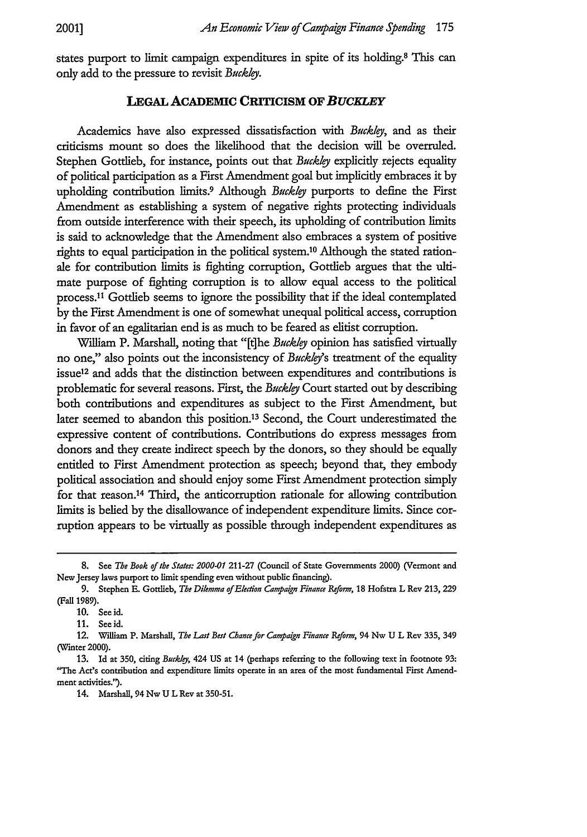states purport to limit campaign expenditures in spite of its holding.8 This can only add to the pressure to revisit *Buckley.*

#### **LEGAL ACADEMIC CRITICISM OF** *BUCKLEY*

Academics have also expressed dissatisfaction with *Buckly,* and as their criticisms mount so does the likelihood that the decision will be overruled. Stephen Gottlieb, for instance, points out that *Buckley* explicitly rejects equality of political participation as a First Amendment goal but implicitly embraces it **by** upholding contribution limits.9 Although *Buckly* purports to define the First Amendment as establishing a system of negative rights protecting individuals from outside interference with their speech, its upholding of contribution limits is said to acknowledge that the Amendment also embraces a system of positive rights to equal participation in the political system.10 Although the stated rationale for contribution limits is fighting corruption, Gottlieb argues that the ultimate purpose of fighting corruption is to allow equal access to the political process.<sup>11</sup> Gottlieb seems to ignore the possibility that if the ideal contemplated by the First Amendment is one of somewhat unequal political access, corruption in favor of an egalitarian end is as much to be feared as elitist corruption.

William P. Marshall, noting that "[t]he *Buckley* opinion has satisfied virtually no one," also points out the inconsistency of *Buckley*'s treatment of the equality issue<sup>12</sup> and adds that the distinction between expenditures and contributions is problematic for several reasons. First, the *Buckly* Court started out by describing both contributions and expenditures as subject to the First Amendment, but later seemed to abandon this position.13 Second, the Court underestimated the expressive content of contributions. Contributions do express messages from donors and they create indirect speech **by** the donors, so they should be equally entitled to First Amendment protection as speech; beyond that, they embody political association and should enjoy some First Amendment protection simply for that reason.14 Third, the anticorruption rationale for allowing contribution limits is belied **by** the disallowance of independent expenditure limits. Since corruption appears to be virtually as possible through independent expenditures as

<sup>8.</sup> See *The Book of the States: 2000-01 211-27* (Council of State Governments 2000) (Vermont and **New** Jersey laws purport **to limit** spending even without public financing).

**<sup>9.</sup>** Stephen **E.** Gottlieb, *The Dilemma ofElection Camaign Finance Refom,* **18** Hofstra L Rev **213, 229 (Fall 1989).**

**<sup>10.</sup>** See **id.**

**<sup>11.</sup> Seeid.**

**<sup>12.</sup>** William **P.** Marshall, *The Last Best Chance for Campaign Finance Reform,* 94 **Nw U** L **Rev 335,** 349 (Wmter 2000).

**<sup>13.</sup>** Id at **350,** citing Buckly, 424 **US** at 14 (perhaps referring to the following text in footnote **93:** "The **Act's** contribution and expenditure limits operate in an area of the most fundamental First Amend**ment** activities.').

<sup>14.</sup> **Marshall,** 94 **Nw U L** Rev at 350-51.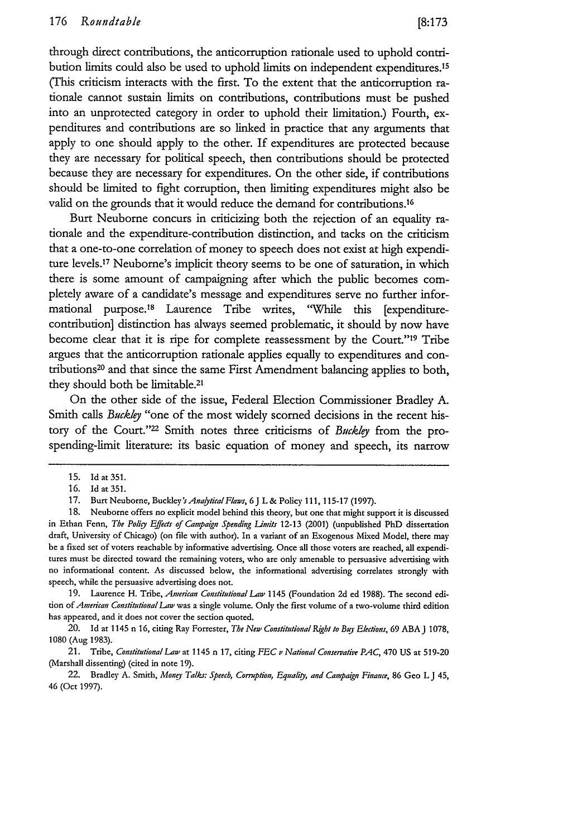through direct contributions, the anticorruption rationale used to uphold **contri**bution limits could also be used to uphold limits on independent expenditures.<sup>15</sup> (This criticism interacts with the first. To the extent that the anticorruption rationale cannot sustain limits on contributions, contributions must be pushed into an unprotected category in order to uphold their limitation.) Fourth, expenditures and contributions are so linked in practice that any arguments that apply to one should apply to the other. **If** expenditures are protected because they are necessary for political speech, then contributions should be protected because they are necessary for expenditures. On the other side, if contributions should **be** limited to fight corruption, then limiting expenditures might also be valid on the grounds that it would reduce the demand for contributions.<sup>16</sup>

Burt Neuborne concurs in criticizing both the rejection of an equality rationale and the expenditure-contribution distinction, and tacks on the criticism that a one-to-one correlation of money to speech does not exist at high expenditure levels.'7 Neubome's implicit theory seems to be one of saturation, in which there is some amount of campaigning after which the public becomes completely aware of a candidate's message and expenditures serve no further informational purpose.'8 Laurence Tribe writes, 'While this [expenditurecontribution] distinction has always seemed problematic, it should **by** now have become clear that it is ripe for complete reassessment by the Court."<sup>19</sup> Tribe argues that the anticorruption rationale applies equally to expenditures and contributions20 and that since the same First Amendment balancing applies to both, they should both be limitable. <sup>21</sup>

On the other side of the issue, Federal Election Commissioner Bradley **A.** Smith calls *Buckley* "one of the most widely scorned decisions in the recent history of the Court."22 Smith notes three criticisms of *Buckley* from the prospending-limit literature: its basic equation of money and speech, its narrow

19. Laurence H. Tribe, *American Constitutional Law* 1145 (Foundation 2d ed 1988). The second edition *of American ConstitutionalLaw* was a single volume. Only the first volume of a two-volume third edition has appeared, and it does **not** cover the section quoted.

20. Id at 1145 n **16,** citing Ray Forrester, *The New Constitntional* **Right** *to* Buj *Elecions,* **69** ABA J **1078, 1080** (Aug 1983).

21. Tribe, *Constitutional* **Law** at 1145 n 17, citing *FEC v National Conservative PAC,* 470 US at 519-20 (Marshall dissenting) (cited in note 19).

22. Bradley A. Smith, *Money Talks: Speech, Cormption, Equali, and Campaign Finance,* **86** Geo **L J** 45, 46 (Oct 1997).

<sup>15.</sup> Idat **351.**

<sup>16.</sup> **Id** at 351.

<sup>17.</sup> Burt Neuborne, Buckley's *AnafyticalFlaws,* 6J L & Policy 111, 115-17 (1997).

<sup>18.</sup> Neuborne offers no explicit model behind this theory, but one that might support it is discussed in Ethan Fenn, *The Poliy Effects of Campaign Spending Limits* 12-13 (2001) (unpublished PhD dissertation draft, University of Chicago) **(on** file with author). In a variant of an Exogenous Mixed Model, there may be a fixed set of voters reachable **by** informative advertising. Once all those voters are reached, all expenditures must be directed toward the remaining voters, who are only amenable to persuasive advertising with no informational content. As discussed below, the informational advertising correlates strongly with speech, while the persuasive advertising does not.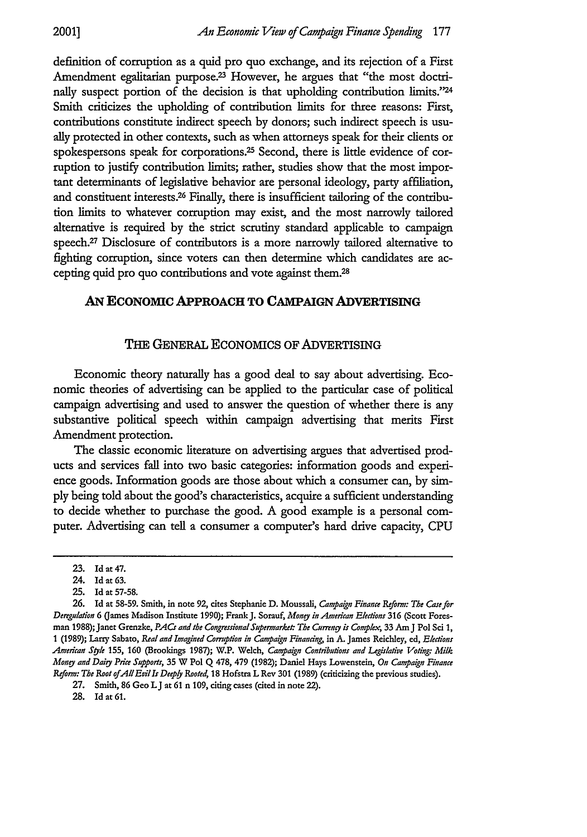definition of corruption as a quid pro quo exchange, and its rejection of a First Amendment egalitarian purpose.<sup>23</sup> However, he argues that "the most doctrinally suspect portion of the decision is that upholding contribution limits."24 Smith criticizes the upholding of contribution limits for three reasons: First, contributions constitute indirect speech by donors; such indirect speech is usually protected in other contexts, such as when attorneys speak for their clients or spokespersons speak for corporations.25 Second, there is little evidence of corruption to justify contribution limits; rather, studies show that the most important determinants of legislative behavior are personal ideology, party affiliation, and constituent interests.26 Finally, there is insufficient tailoring of the contribution limits to whatever corruption may exist, and the most narrowly tailored alternative is required by the strict scrutiny standard applicable to campaign speech.27 Disclosure of contributors is a more narrowly tailored alternative to fighting corruption, since voters can then determine which candidates are accepting quid pro quo contributions and vote against them.28

#### **AN EcoNoMIc APPROACH TO CAMPAIGN ADVERTISING**

#### THE GENERAL ECONOMICS OF ADVERTISING

Economic theory naturally has a good deal to say about advertising. Economic theories of advertising can be applied to the particular case of political campaign advertising and used to answer the question of whether there is any substantive political speech within campaign advertising that merits First Amendment protection.

The classic economic literature on advertising argues that advertised products and services fall into two basic categories: information goods and experience goods. Information goods are those about which a consumer can, by simply being told about the good's characteristics, acquire a sufficient understanding to decide whether to purchase the good. A good example is a personal computer. Advertising can tell a consumer a computer's hard drive capacity, **CPU**

28. Id at **61.**

<sup>23.</sup> Id **at** 47.

<sup>24.</sup> Id at **63.**

<sup>25.</sup> Id at 57-58.

**<sup>26.</sup>** Id at 58-59. Smith, in note **92,** cites Stephanie D. Moussali, *Campaign Finance Reform: The Cae for Deregulation* **6** Games Madison Institute **1990);** Frank J. Sorauf, *Money in American Elections* **316** (Scott Foresman 1988); Janet Grenzke, PACs and the Congressional Supermarket: The Currency is Complex, 33 Am J Pol Sci 1, 1 **(1989);** Larry **Sabato,** *Real and Imagined Corrupton in Campagn Financing,* in A. James Reichley, ed, *Elections American Syle* 155, **160** (Brookings 1987); W.P. Welch, *Campagn Contributions and Legislatv Voting: Milk* Mon *and* Dairy *Price* Supports, 35 W **Pol Q** 478, 479 (1982); Daniel Hays Lowenstein, *On Campaign Finance* Reform: *The Root ofAllEvills Deepyl Rooted,* 18 Hofstra L Rev 301 (1989) (criticizing the previous studies).

<sup>27.</sup> Smith, 86 Geo **LJ** at **61** n **109,** citing cases (cited in note 22).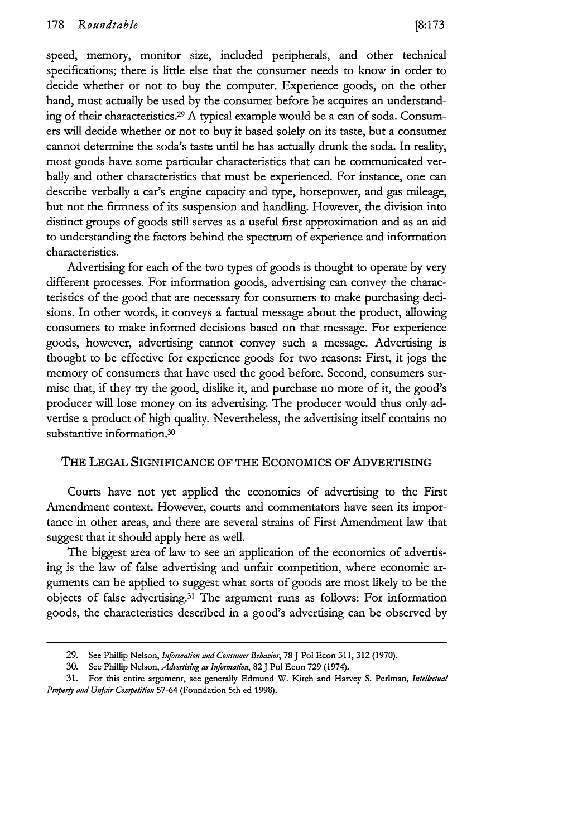speed, memory, monitor size, included peripherals, and other technical specifications; there is little else that the consumer needs to know in order to decide whether or not to buy the computer. Experience goods, on the other hand, must actually be used by the consumer before he acquires an understanding of their characteristics. 29 A typical example would be a can of soda. Consumers will decide whether or not to buy it based solely on its taste, but a consumer cannot determine the soda's taste until he has actually drunk the soda. In reality, most goods have some particular characteristics that can be communicated verbally and other characteristics that must be experienced. For instance, one can describe verbally a car's engine capacity and type, horsepower, and gas mileage, but not the firmness of its suspension and handling. However, the division into distinct groups of goods still serves as a useful first approximation and as an aid to understanding the factors behind the spectrum of experience and information characteristics.

Advertising for each of the two types of goods is thought to operate by very different processes. For information goods, advertising can convey the characteristics of the good that are necessary for consumers to make purchasing decisions. In other words, it conveys a factual message about the product, allowing consumers to make informed decisions based on that message. For experience goods, however, advertising cannot convey such a message. Advertising is thought to be effective for experience goods for two reasons: First, it jogs the memory of consumers that have used the good before. Second, consumers surmise that, if they try the good, dislike it, and purchase no more of it, the good's producer will lose money on its advertising. The producer would thus only advertise a product of high quality. Nevertheless, the advertising itself contains no substantive information.<sup>30</sup>

#### THE LEGAL SIGNIFICANCE OF THE ECONOMICS OF ADVERTISING

Courts have not yet applied the economics of advertising to the First Amendment context. However, courts and commentators have seen its importance in other areas, and there are several strains of First Amendment law that suggest that it should apply here as well.

The biggest area of law to see an application of the economics of advertising is the law of false advertising and unfair competition, where economic arguments can be applied to suggest what sorts of goods are most likely to be the objects of false advertising.31 The argument runs as follows: For information goods, the characteristics described in a good's advertising can be observed by

<sup>29.</sup> See Phillip Nelson, *Information and Consumer Behavior*, 78 J Pol Econ 311, 312 (1970).

<sup>30.</sup> See Phillip Nelson, *Advertising as Information,* 82J Pol Econ 729 (1974).

<sup>31.</sup> For this entire argument, see generally Edmund W. Kitch and Harvey S. Perlman, *Intellectnal Propery and Unfair Competition* 57-64 (Foundation 5th ed 1998).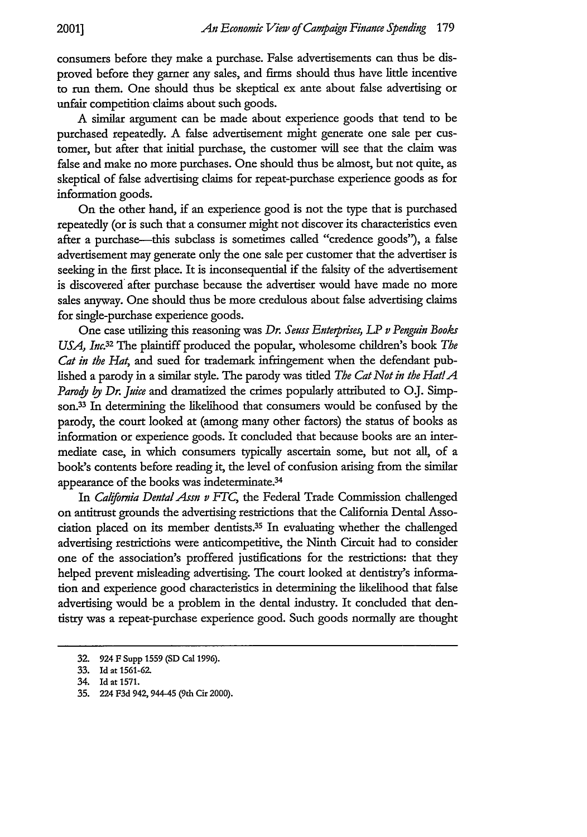consumers before they make a purchase. False advertisements can thus be disproved before they garner any sales, and firms should thus have little incentive to run them. One should thus be skeptical ex ante about false advertising or unfair competition claims about such goods.

A similar argument can be made about experience goods that tend to be purchased repeatedly. A false advertisement might generate one sale per customer, but after that initial purchase, the customer will see that the claim was false and make no more purchases. One should thus be almost, but not quite, as skeptical of false advertising claims for repeat-purchase experience goods as for information goods.

On the other hand, if an experience good is not the type that is purchased repeatedly (or is such that a consumer might not discover its characteristics even after a purchase—this subclass is sometimes called "credence goods"), a false advertisement may generate only the one sale per customer that the advertiser is seeking in the first place. It is inconsequential if the falsity of the advertisement is discovered after purchase because the advertiser would have made no more sales anyway. One should thus be more credulous about false advertising claims for single-purchase experience goods.

One case utilizing this reasoning was *Dr. Seuss Enterprises, LP v Penguin Books USA, Inc.32* The plaintiff produced the popular, wholesome children's book *The Cat in the Hat,* and sued for trademark infringement when the defendant published a parody in a similar style. The parody was titled *The Cat Not in the Hat!A Parody by Dr. Juice* and dramatized the crimes popularly attributed to O.J. Simpson.33 In determining the likelihood that consumers would be confused by the parody, the court looked at (among many other factors) the status of books as information or experience goods. It concluded that because books are an intermediate case, in which consumers typically ascertain some, but not all, of a book's contents before reading it, the level of confusion arising from the similar appearance of the books was indeterminate.34

In *California Dental Assn v FTC,* the Federal Trade Commission challenged on antitrust grounds the advertising restrictions that the California Dental Association placed on its member dentists.35 In evaluating whether the challenged advertising restrictiohs were anticompetitive, the Ninth Circuit had to consider one of the association's proffered justifications for the restrictions: that they helped prevent misleading advertising. The court looked at dentistry's information and experience good characteristics in determining the likelihood that false advertising would be a problem in the dental industry. It concluded that dentistry was a repeat-purchase experience good. Such goods normally are thought

**<sup>32. 924</sup> F** Supp **1559 (SD Cal 1996).**

**<sup>33.</sup> Id at 1561-62.**

<sup>34.</sup> Id at **1571.**

**<sup>35.</sup>** 224 F3d 942, 944-45 **(9th** Cir **2000).**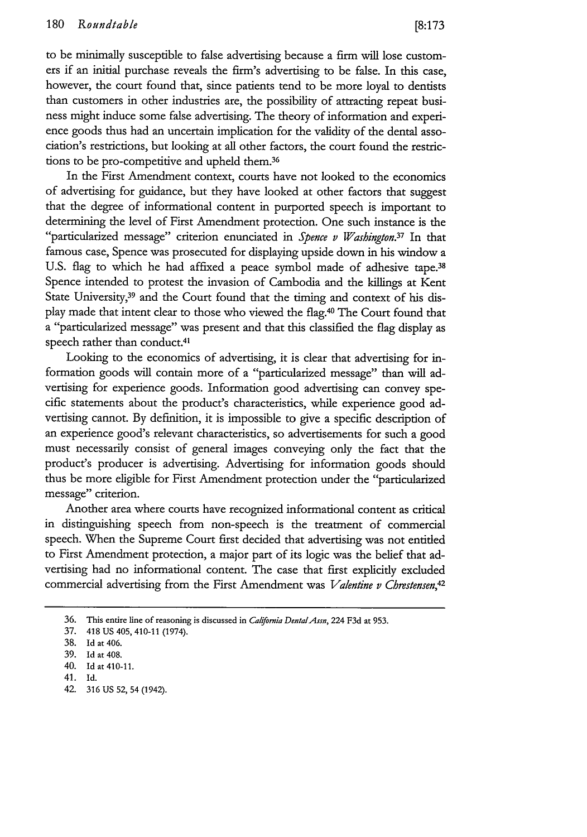to be minimally susceptible to false advertising because a firm will lose customers if an initial purchase reveals the firm's advertising to be false. In this case, however, the court found that, since patients tend to be more loyal to dentists than customers in other industries are, the possibility of attracting repeat business might induce some false advertising. The theory of information and experience goods thus had an uncertain implication for the validity of the dental association's restrictions, but looking at all other factors, the court found the restrictions to be pro-competitive and upheld them.<sup>36</sup>

In the First Amendment context, courts have not looked to the economics of advertising for guidance, but they have looked at other factors that suggest that the degree of informational content in purported speech is important to determining the level of First Amendment protection. One such instance is the "particularized message" criterion enunciated in *Spence v Washington.37* In that famous case, Spence was prosecuted for displaying upside down in his window a U.S. flag to which he had affixed a peace symbol made of adhesive tape.<sup>38</sup> Spence intended to protest the invasion of Cambodia and the killings at Kent State University,<sup>39</sup> and the Court found that the timing and context of his display made that intent clear to those who viewed the flag.40 The Court found that a "particularized message" was present and that this classified the flag display as speech rather than conduct.<sup>41</sup>

Looking to the economics of advertising, it is clear that advertising for information goods will contain more of a "particularized message" than will advertising for experience goods. Information good advertising can convey specific statements about the product's characteristics, while experience good advertising cannot. By definition, it is impossible to give a specific description of an experience good's relevant characteristics, so advertisements for such a good must necessarily consist of general images conveying only the fact that the product's producer is advertising. Advertising for information goods should thus be more eligible for First Amendment protection under the "particularized message" criterion.

Another area where courts have recognized informational content as critical in distinguishing speech from non-speech is the treatment of commercial speech. When the Supreme Court first decided that advertising was not entitled to First Amendment protection, a major part of its logic was the belief that advertising had no informational content. The case that first explicitly excluded commercial advertising from the First Amendment was *Valentine v Cbrestensen,42*

42. 316 US 52, 54 (1942).

<sup>36.</sup> This entire line of reasoning is discussed in *California Dental Assn*, 224 F3d at 953.

<sup>37. 418</sup> US 405, 410-11 (1974).

<sup>38.</sup> Id at 406.

<sup>39.</sup> Id at 408.

<sup>40.</sup> Id at 410-11.

<sup>41.</sup> Id.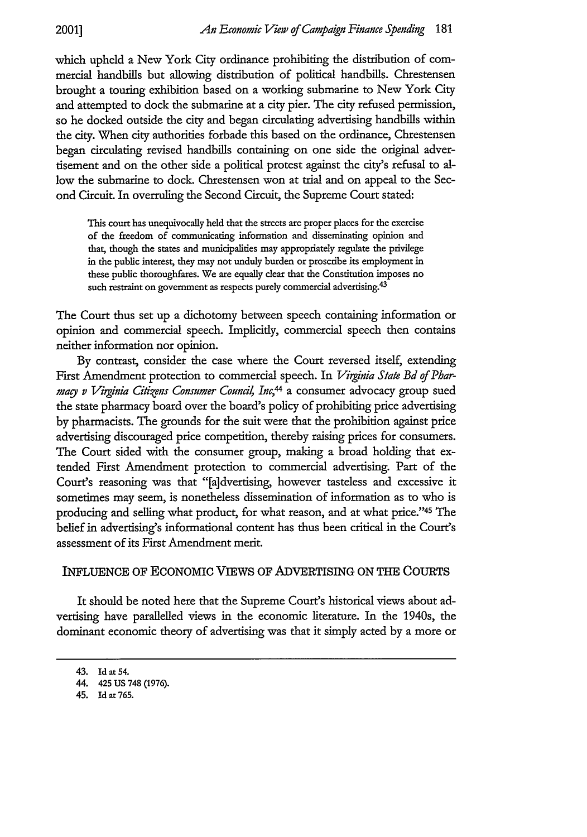which upheld a New York City ordinance prohibiting the distribution of commercial handbills but allowing distribution of political handbills. Chrestensen brought a touring exhibition based on a working submarine to New York City and attempted to dock the submarine at a city pier. The city refused permission, so he docked outside the city and began circulating advertising handbills within the city. When city authorities forbade this based on the ordinance, Chrestensen began circulating revised handbills containing on one side the original advertisement and on the other side a political protest against the city's refusal to allow the submarine to dock. Chrestensen won at trial and on appeal to the Second Circuit. In overruling the Second Circuit, the Supreme Court stated:

This court has unequivocally held that the streets are proper places for the exercise of the freedom of communicating information and disseminating opinion and that, though the states and municipalities may appropriately regulate the privilege in the public interest, they may not unduly burden or proscribe its employment in these public thoroughfares. We are equally clear that the Constitution imposes no such restraint on government as respects purely commercial advertising.<sup>43</sup>

The Court thus set up a dichotomy between speech containing information or opinion and commercial speech. Implicitly, commercial speech then contains neither information nor opinion.

By contrast, consider the case where the Court reversed itself, extending First Amendment protection to commercial speech. In *Virginia State Bd of Pharmary v Virginia Cilizens Consumer Coundl, Inc,4* a consumer advocacy group sued the state pharmacy board over the board's policy of prohibiting price advertising by pharmacists. The grounds for the suit were that the prohibition against price advertising discouraged price competition, thereby raising prices for consumers. The Court sided with the consumer group, making a broad holding that extended First Amendment protection to commercial advertising. Part of the Court's reasoning was that "[a]dvertising, however tasteless and excessive it sometimes may seem, is nonetheless dissemination of information as to who is producing and selling what product, for what reason, and at what price."45 The belief in advertising's informational content has thus been critical in the Court's assessment of its First Amendment merit.

#### INFLUENCE OF ECONOMIC VIEWS OF ADVERTISING ON THE COURTS

It should be noted here that the Supreme Court's historical views about advertising have parallelled views in the economic literature. In the 1940s, the dominant economic theory of advertising was that it simply acted by a more or

<sup>43.</sup> Id at 54.

<sup>44. 425</sup> US 748 (1976).

<sup>45.</sup> Id at 765.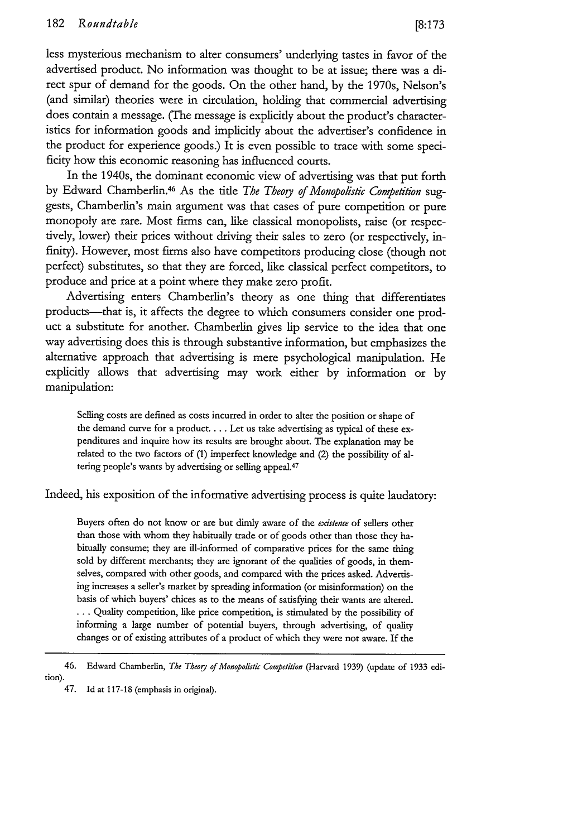less mysterious mechanism to alter consumers' underlying tastes in favor of the advertised product. No information was thought to be at issue; there was a direct spur of demand for the goods. On the other hand, by the 1970s, Nelson's (and similar) theories were in circulation, holding that commercial advertising does contain a message. (The message is explicitly about the product's characteristics for information goods and implicitly about the advertiser's confidence in the product for experience goods.) It is even possible to trace with some specificity how this economic reasoning has influenced courts.

In the 1940s, the dominant economic view of advertising was that put forth by Edward Chamberlin.46 As the title *The Theoy of Monopolisic Competition* suggests, Chamberlin's main argument was that cases of pure competition or pure monopoly are rare. Most firms can, like classical monopolists, raise (or respectively, lower) their prices without driving their sales to zero (or respectively, infinity). However, most firms also have competitors producing close (though not perfect) substitutes, so that they are forced, like classical perfect competitors, to produce and price at a point where they make zero profit.

Advertising enters Chamberlin's theory as one thing that differentiates products—that is, it affects the degree to which consumers consider one product a substitute for another. Chamberlin gives lip service to the idea that one way advertising does this is through substantive information, but emphasizes the alternative approach that advertising is mere psychological manipulation. He explicitly allows that advertising may work either by information or by manipulation:

Selling costs are defined as costs incurred in order to alter the position or shape of the demand curve for a product.... Let us take advertising as typical of these expenditures and inquire how its results are brought about. The explanation may be related to the two factors of (1) imperfect knowledge and (2) the possibility of altering people's wants **by** advertising or selling appeal.<sup>47</sup>

Indeed, his exposition of the informative advertising process is quite laudatory:

Buyers often do not know or are but dimly aware of the *existence* of sellers other than those with whom they habitually trade or of goods other than those they habitually consume; they are ill-informed of comparative prices for the same thing sold by different merchants; they are ignorant of the qualities of goods, in themselves, compared with other goods, and compared with the prices asked. Advertising increases a seller's market by spreading information (or misinformation) on the basis of which buyers' chices as to the means of satisfying their wants are altered. **...** Quality competition, like price competition, is stimulated by the possibility of informing a large number of potential buyers, through advertising, of quality changes or of existing attributes of a product of which they were not aware. If the

<sup>46.</sup> Edward Chamberlin, *The Theory of Monopolistic Competition* (Harvard 1939) (update of 1933 edition).

<sup>47.</sup> Id at 117-18 (emphasis in original).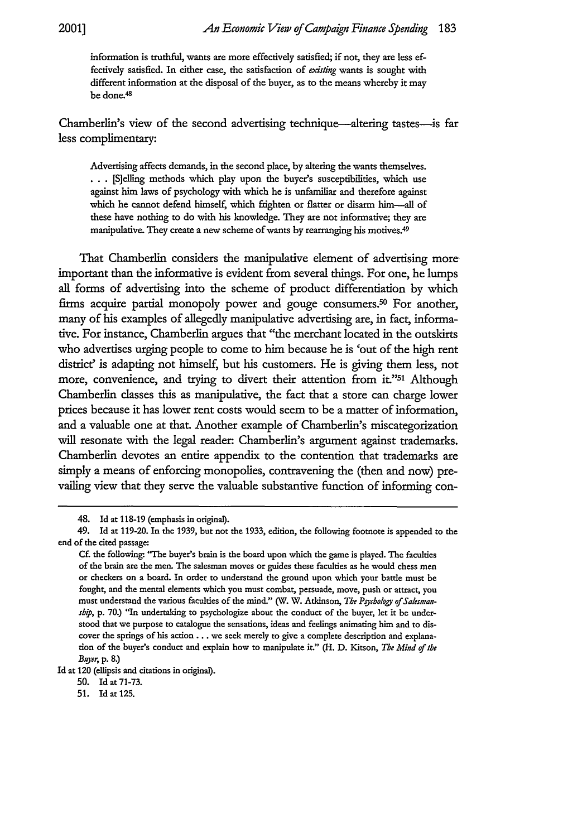information is truthful, wants are more effectively satisfied; if not, they are less effectively satisfied. In either case, the satisfaction of existing wants is sought with different information at the disposal of the buyer, as to the means whereby it may be done. <sup>48</sup>

Chamberlin's view of the second advertising technique—altering tastes—is far less complimentary:

Advertising affects demands, in the second place, by altering the wants themselves. • **..** [S]eling methods which play upon the buyer's susceptibilities, which use against him laws of psychology with which he is unfamiliar and therefore against which he cannot defend himself, which frighten or flatter or disarm him--all of these have nothing to do with his knowledge. They are not informative; they are manipulative. They create a new scheme of wants by rearranging his motives. <sup>49</sup>

That Chamberlin considers the manipulative element of advertising moreimportant than the informative is evident from several things. For one, he lumps all forms of advertising into the scheme of product differentiation by which firms acquire partial monopoly power and gouge consumers.<sup>50</sup> For another, many of his examples of allegedly manipulative advertising are, in fact, informative. For instance, Chamberlin argues that "the merchant located in the outskirts who advertises urging people to come to him because he is 'out of the high rent district' is adapting not himself, but his customers. He is giving them less, not more, convenience, and trying to divert their attention from it."51 Although Chamberlin classes this as manipulative, the fact that a store can charge lower prices because it has lower rent costs would seem to be a matter of information, and a valuable one at that. Another example of Chamberlin's miscategorization will resonate with the legal reader: Chamberlin's argument against trademarks. Chamberlin devotes an entire appendix to the contention that trademarks are simply a means of enforcing monopolies, contravening the (then and now) prevailing view that they serve the valuable substantive function of informing con-

<sup>48.</sup> Id at 118-19 (emphasis in original).

<sup>49.</sup> Id at 119-20. In the 1939, but not the 1933, edition, the following footnote is appended to the end of the cited passage:

Cf. the following: "The buyer's brain is the board upon which the game is played. The faculties of the brain are the men. The salesman moves or guides these faculties as he would chess men or checkers on a board. In order to understand the ground upon which your battle must be fought, and the mental elements which you must combat, persuade, move, push or attract, you must understand the various faculties of the mind." (W. W. Atkinson, *The Pgcbology of Saksmansbip*, p. 70.) "In undertaking to psychologize about the conduct of the buyer, let it be understood that we purpose to catalogue the sensations, ideas and feelings animating him and to discover the springs of his action.., we seek merely to give a complete description and explanation of the buyer's conduct and explain how to manipulate it" (H. **D.** Kitson, *The Mind of the* Buyer, p. 8.)

**Id** at 120 (ellipsis and citations in original).

**<sup>50.</sup>** Id at **71-73.**

**<sup>51.</sup>** Id at 125.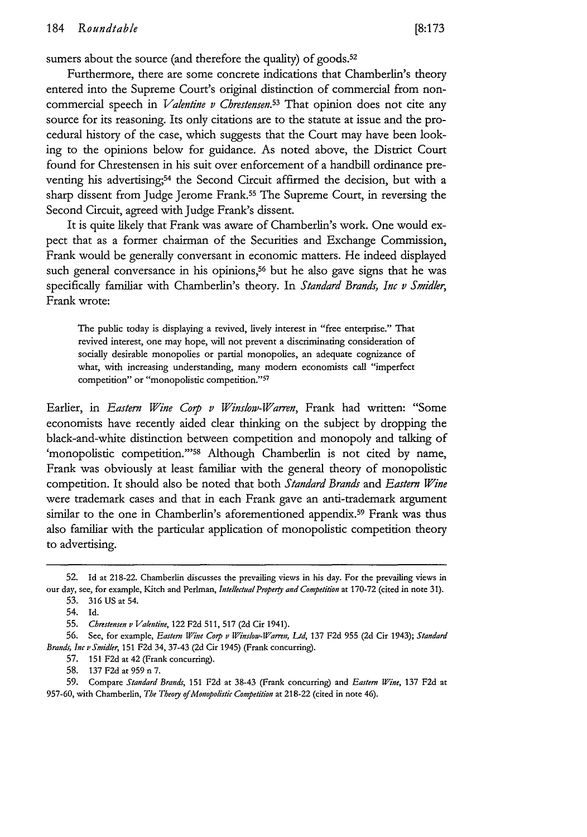sumers about the source (and therefore the quality) of goods.<sup>52</sup>

Furthermore, there are some concrete indications that Chamberlin's theory entered into the Supreme Court's original distinction of commercial from noncommercial speech in *Valentine v Chrestensen.53* That opinion does not cite any source for its reasoning. Its only citations are to the statute at issue and the procedural history of the case, which suggests that the Court may have been looking to the opinions below for guidance. As noted above, the District Court found for Chrestensen in his suit over enforcement of a handbill ordinance preventing his advertising;<sup>54</sup> the Second Circuit affirmed the decision, but with a sharp dissent from Judge Jerome Frank.55 The Supreme Court, in reversing the Second Circuit, agreed with Judge Frank's dissent.

It is quite likely that Frank was aware of Chamberlin's work. One would expect that as a former chairman of the Securities and Exchange Commission, Frank would be generally conversant in economic matters. He indeed displayed such general conversance in his opinions,<sup>56</sup> but he also gave signs that he was specifically familiar with Chamberlin's theory. In *Standard Brands, Inc v Smidler,* Frank wrote:

The public today is displaying a revived, lively interest in "free enterprise." That revived interest, one may hope, will not prevent a discriminating consideration of socially desirable monopolies or partial monopolies, an adequate cognizance of what, with increasing understanding, many modem economists call "imperfect competition" or "monopolistic competition."57

Earlier, in *Eastern Wine Coip v Winslow-Warren,* Frank had written: "Some economists have recently aided clear thinking on the subject by dropping the black-and-white distinction between competition and monopoly and talking of 'monopolistic competition."<sup>58</sup> Although Chamberlin is not cited by name, Frank was obviously at least familiar with the general theory of monopolistic competition. It should also be noted that both *Standard Brands* and *Eastern Wine* were trademark cases and that in each Frank gave an anti-trademark argument similar to the one in Chamberlin's aforementioned appendix.<sup>59</sup> Frank was thus also familiar with the particular application of monopolistic competition theory to advertising.

<sup>52.</sup> Id at 218-22. Chamberlin discusses the prevailing views in his day. For the prevailing views in our day, see, for example, Kitch and Perlman, *IntellectualProperty and Competition* at 170-72 (cited in note 31).

<sup>53. 316</sup> US at 54.

<sup>54.</sup> Id.

<sup>55.</sup> *Chrestensen v Valentine,* 122 F2d 511, 517 (2d Cir 1941).

<sup>56.</sup> See, for example, *Eastern Wine Corp v Winslow-Varren, Lid,* 137 F2d **955** (2d Cir 1943); *Standard Brands, Inc iSmidler,* 151 F2d 34, 37-43 (2d Cir 1945) (Frank concurring).

<sup>57. 151</sup> F2d at 42 (Frank concurring).

<sup>58. 137</sup> F2d at **959** n 7.

<sup>59.</sup> Compare Standard Brands, 151 F2d at 38-43 (Frank concurring) and *Eastern Wine,* 137 F2d at 957-60, with Chamberlin, *The Theogy of Monopolistic Competition* at 218-22 (cited in note 46).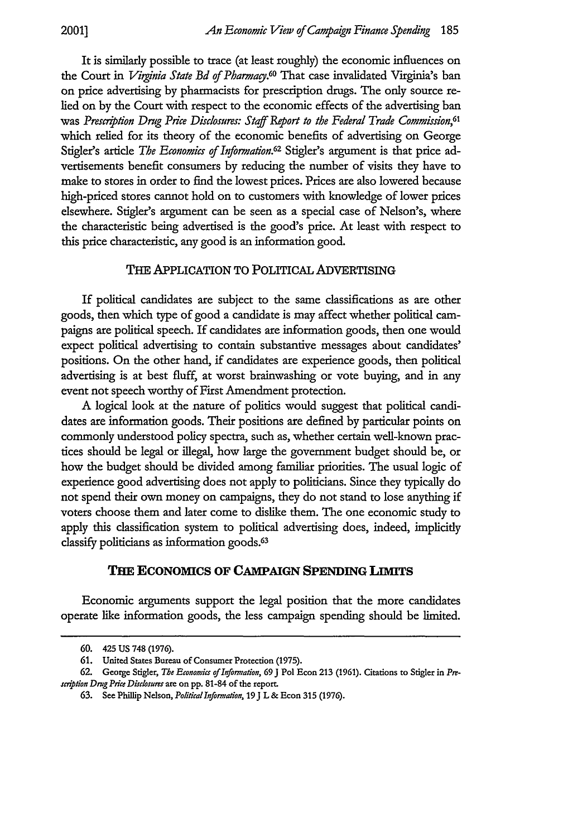**2001]**

It is similarly possible to trace (at least roughly) the economic influences on the Court in *Virginia State Bd of Pharmacy*.<sup>60</sup> That case invalidated Virginia's ban on price advertising by pharmacists for prescription drugs. The only source relied on by the Court with respect to the economic effects of the advertising ban was *Presciption Drug Pice Disclosures: Staff Report to the Federal Trade Commission,61* which relied for its theory of the economic benefits of advertising on George Stigler's article *The Economics of Informaion.62* Stigler's argument is that price advertisements benefit consumers by reducing the number of visits they have to make to stores in order to find the lowest prices. Prices are also lowered because high-priced stores cannot hold on to customers with knowledge of lower prices elsewhere. Stigler's argument can be seen as a special case of Nelson's, where the characteristic being advertised is the good's price. At least with respect to this price characteristic, any good is an information good.

#### THE APPLICATION TO POLITICAL ADVERTISING

If political candidates are subject to the same classifications as are other goods, then which type of good a candidate is may affect whether political campaigns are political speech. If candidates are information goods, then one would expect political advertising to contain substantive messages about candidates' positions. On the other hand, if candidates are experience goods, then political advertising is at best fluff, at worst brainwashing or vote buying, and in any event not speech worthy of First Amendment protection.

A logical look at the nature of politics would suggest that political candidates are information goods. Their positions are defined by particular points on commonly understood policy spectra, such as, whether certain well-known practices should be legal or illegal, how large the government budget should be, or how the budget should be divided among familiar priorities. The usual logic of experience good advertising does not apply to politicians. Since they typically do not spend their own money on campaigns, they do not stand to lose anything if voters choose them and later come to dislike them. The one economic study to apply this classification system to political advertising does, indeed, implicitly classify politicians as information goods.<sup>63</sup>

#### **THE ECONOMICS OF CAMPAIGN SPENDING LIM1TS**

Economic arguments support the legal position that the more candidates operate like information goods, the less campaign spending should be limited.

**<sup>60.</sup>** 425 **US 748 (1976).**

**<sup>61.</sup>** United States Bureau **of** Consumer Protection **(1975).**

**<sup>62.</sup>** George Stigler, *The Economia of Informadion,* **69 J** Pol Econ **213 (1961).** Citations to Stigler in *Pr*scription Drug Price Disclosures are on pp. 81-84 of the report.

**<sup>63.</sup>** See Phillip Nelson, *Poliical Informalion,* **19J** L **&** Econ **315 (1976).**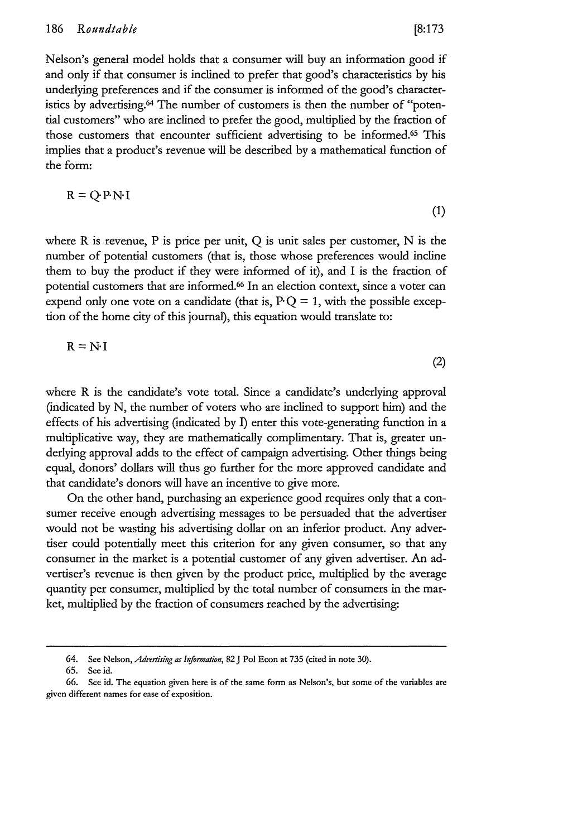(1)

(2)

Nelson's general model holds that a consumer will buy an information good if and only if that consumer is inclined to prefer that good's characteristics by his underlying preferences and if the consumer is informed of the good's characteristics by advertising.<sup>64</sup> The number of customers is then the number of "potential customers" who are inclined to prefer the good, multiplied by the fraction of those customers that encounter sufficient advertising to be informed.<sup>65</sup> This implies that a product's revenue will be described by a mathematical function of the form:

$$
R = Q P N I
$$

where R is revenue, P is price per unit, Q is unit sales per customer, N is the number of potential customers (that is, those whose preferences would incline them to buy the product if they were informed of it), and I is the fraction of potential customers that are informed.<sup>66</sup> In an election context, since a voter can expend only one vote on a candidate (that is,  $PQ = 1$ , with the possible exception of the home city of this journal), this equation would translate to:

$$
R = N \cdot I
$$

where R is the candidate's vote total. Since a candidate's underlying approval (indicated by N, the number of voters who are inclined to support him) and the effects of his advertising (indicated by **1)** enter this vote-generating function in a multiplicative way, they are mathematically complimentary. That is, greater underlying approval adds to the effect of campaign advertising. Other things being equal, donors' dollars will thus go further for the more approved candidate and that candidate's donors will have an incentive to give more.

On the other hand, purchasing an experience good requires only that a consumer receive enough advertising messages to be persuaded that the advertiser would not be wasting his advertising dollar on an inferior product. Any advertiser could potentially meet this criterion for any given consumer, so that any consumer in the market is a potential customer of any given advertiser. An advertiser's revenue is then given by the product price, multiplied by the average quantity per consumer, multiplied by the total number of consumers in the market, multiplied by the fraction of consumers reached by the advertising-

<sup>64.</sup> See Nelson, *Advertisig as Information,* 82 J Pol Econ at **735** (cited in note **30).**

**<sup>65.</sup>** See id.

**<sup>66.</sup>** See id. The equation given here is of the same form **as** Nelson's, but some of the variables are given different names for ease of exposition.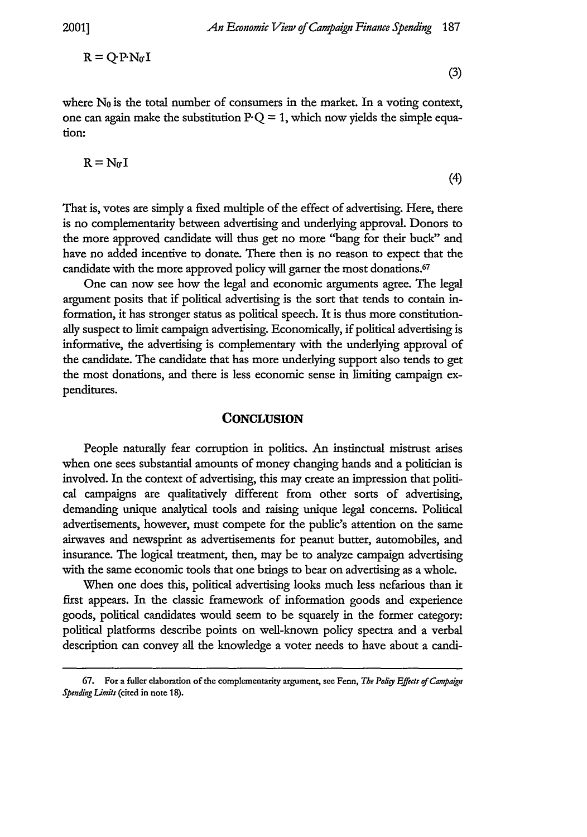$$
\mathbf{R} = \mathbf{Q} \cdot \mathbf{P} \cdot \mathbf{N}_0 \mathbf{I}
$$

(3)

(4)

where  $N_0$  is the total number of consumers in the market. In a voting context, one can again make the substitution  $PQ = 1$ , which now yields the simple equation:

$$
R = N_0 I
$$

That is, votes are simply a fixed multiple of the effect of advertising. Here, there is no complementarity between advertising and underlying approval. Donors to the more approved candidate will thus get no more "bang for their buck" and have no added incentive to donate. There then is no reason to expect that the candidate with the more approved policy will garner the most donations.<sup>67</sup>

One can now see how the legal and economic arguments agree. The legal argument posits that if political advertising is the sort that tends to contain information, it has stronger status as political speech. It is thus more constitutionally suspect to limit campaign advertising. Economically, if political advertising is informative, the advertising is complementary with the underlying approval of the candidate. The candidate that has more underlying support also tends to get the most donations, and there is less economic sense in limiting campaign expenditures.

#### **CONCLUSION**

People naturally fear corruption in politics. An instinctual mistrust arises when one sees substantial amounts of money changing hands and a politician is involved. In the context of advertising, this may create an impression that political campaigns are qualitatively different from other sorts of advertising, demanding unique analytical tools and raising unique legal concerns. Political advertisements, however, must compete for the public's attention on the same airwaves and newsprint as advertisements for peanut butter, automobiles, and insurance. The logical treatment, then, may be to analyze campaign advertising with the same economic tools that one brings to bear on advertising as a whole.

When one does this, political advertising looks much less nefarious than it first appears. In the classic framework of information goods and experience goods, political candidates would seem to be squarely in the former category: political platforms describe points on well-known policy spectra and a verbal description can convey all the knowledge a voter needs to have about a candi-

**<sup>67.</sup> For** a fuller elaboration of the complementarity argument, see Fenn, *The Pohby* Effects *of Campaign Spending Limifs* (cited in note **18).**